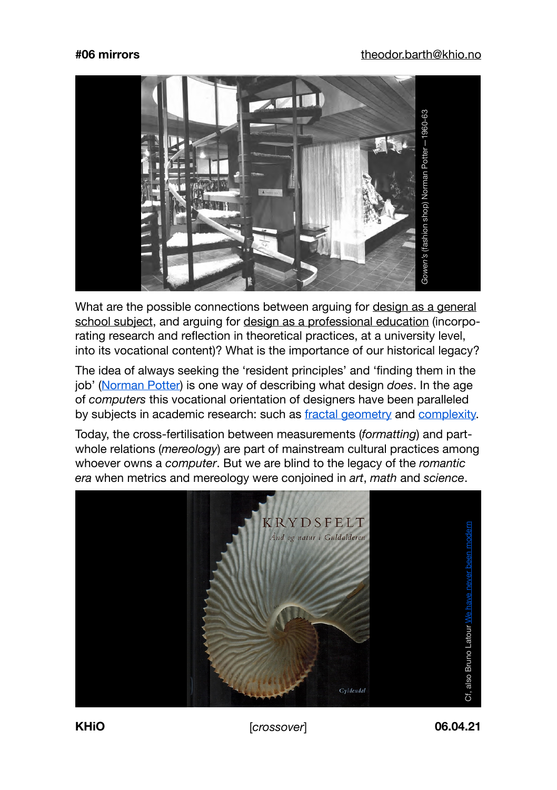

What are the possible connections between arguing for design as a general school subject, and arguing for design as a professional education (incorporating research and reflection in theoretical practices, at a university level, into its vocational content)? What is the importance of our historical legacy?

The idea of always seeking the 'resident principles' and 'finding them in the job' ([Norman Potter\)](https://www.goodreads.com/book/show/2208896.Models_Constructs) is one way of describing what design *does*. In the age of *computers* this vocational orientation of designers have been paralleled by subjects in academic research: such as [fractal geometry](https://en.wikipedia.org/wiki/Self-similarity) and [complexity.](https://en.wikipedia.org/wiki/Abelian_sandpile_model)

Today, the cross-fertilisation between measurements (*formatting*) and partwhole relations (*mereology*) are part of mainstream cultural practices among whoever owns a *computer*. But we are blind to the legacy of the *romantic* 



**KHiO** [*crossover*] **06.04.21**